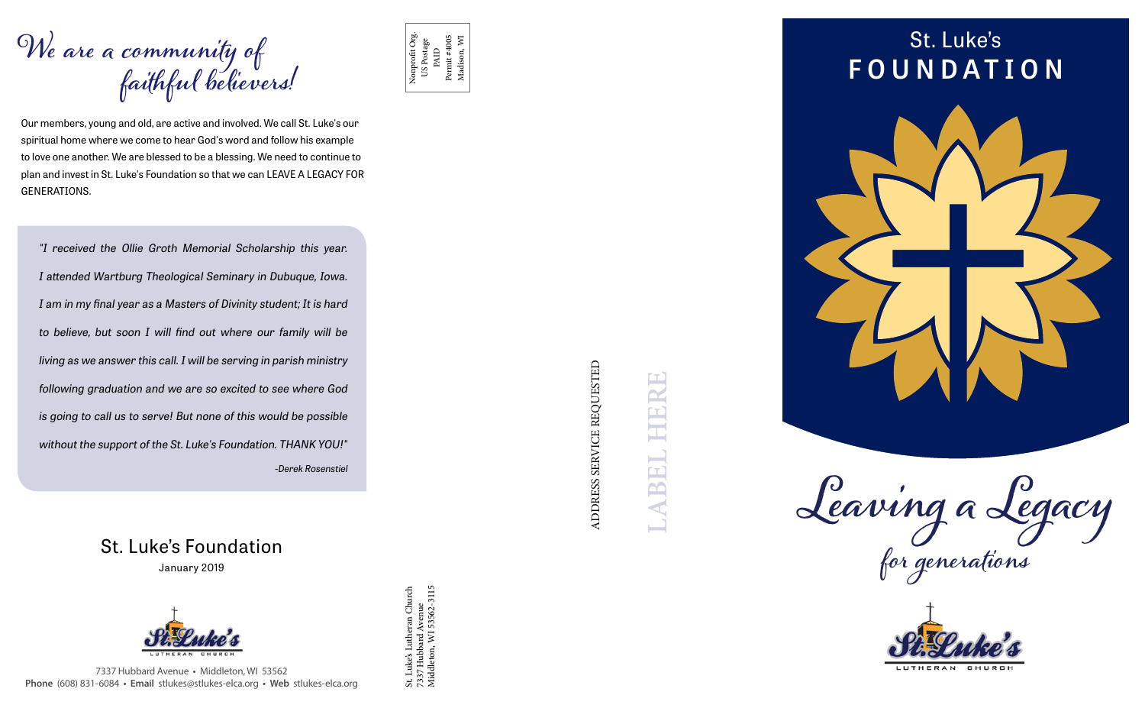Our members, young and old, are active and involved. We call St. Luke's our spiritual home where we come to hear God's word and follow his example to love one another. We are blessed to be a blessing. We need to continue to plan and invest in St. Luke's Foundation so that we can LEAVE A LEGACY FOR GENERATIONS.

## **We are a community of faithful believers!**

ADDRESS SERVICE REQUESTED ADDRESS SERVICE REQUESTED

7337 Hubbard Avenue **•** Middleton, WI 53562 **Phone** (608) 831-6084 **• Email** stlukes@stlukes-elca.org **• Web** stlukes-elca.org

**Leaving a Legacy for generations**



## St. Luke's **FOUNDATION**



St. Luke's Foundation

January 2019



St. Luke's Lutheran Church 7337 Hubbard Avenue Middleton, WI 53562-3115

St. Luke's Lutheran Church<br>7337 Hubbard Avenue<br>Middleton, WI 53562-3115

Nonprofit Org. US Postage PAID<br>Permit #4005 Permit #4005 Madison, WI

*"I received the Ollie Groth Memorial Scholarship this year. I attended Wartburg Theological Seminary in Dubuque, Iowa. I am in my final year as a Masters of Divinity student; It is hard to believe, but soon I will find out where our family will be living as we answer this call. I will be serving in parish ministry following graduation and we are so excited to see where God is going to call us to serve! But none of this would be possible without the support of the St. Luke's Foundation. THANK YOU!" -Derek Rosenstiel*

**LABEL HERE**